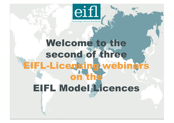

knowledge without boundaries

# Welcome to the second of three EIFL-Licensing webinars on the EIFL Model Licences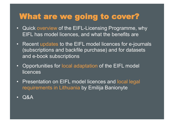#### What are we going to cover?

- Quick overview of the EIFL-Licensing Programme, why EIFL has model licences, and what the benefits are
- Recent updates to the EIFL model licences for e-journals (subscriptions and backfile purchase) and for datasets and e-book subscriptions
- Opportunities for local adaptation of the EIFL model **licences**
- Presentation on EIFL model licences and local legal requirements in Lithuania by Emilija Banionyte
- Q&A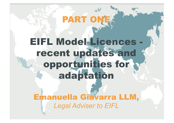# EIFL Model Licences recent updates and opportunities for adaptation

PART ONE.

Emanuella Giavarra LLM, *Legal Adviser to EIFL*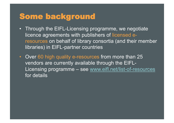#### Some background

- Through the EIFL-Licensing programme, we negotiate licence agreements with publishers of licensed eresources on behalf of library consortia (and their member libraries) in EIFL-partner countries
- Over 60 high quality e-resources from more than 25 vendors are currently available through the EIFL-Licensing programme – see www.eifl.net/list-of-resources for details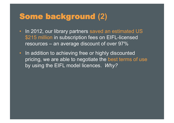#### Some background **(2)**

- In 2012, our library partners saved an estimated US \$215 million in subscription fees on EIFL-licensed resources – an average discount of over 97%
- In addition to achieving free or highly discounted pricing, we are able to negotiate the best terms of use by using the EIFL model licences. *Why?*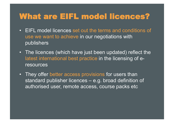#### What are EIFL model licences?

- EIFL model licences set out the terms and conditions of use we want to achieve in our negotiations with publishers
- The licences (which have just been updated) reflect the latest international best practice in the licensing of eresources
- They offer better access provisions for users than standard publisher licences – e.g. broad definition of authorised user, remote access, course packs etc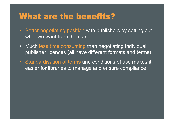#### What are the benefits?

- Better negotiating position with publishers by setting out what we want from the start
- Much less time consuming than negotiating individual publisher licences (all have different formats and terms)
- Standardisation of terms and conditions of use makes it easier for libraries to manage and ensure compliance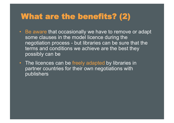#### What are the benefits? (2)

- Be aware that occasionally we have to remove or adapt some clauses in the model licence during the negotiation process - but libraries can be sure that the terms and conditions we achieve are the best they possibly can be
- The licences can be freely adapted by libraries in partner countries for their own negotiations with publishers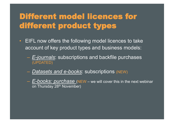## Different model licences for different product types

- EIFL now offers the following model licences to take account of key product types and business models:
	- *E-journals*: subscriptions and backfile purchases (UPDATED)
	- *Datasets and e-books*: subscriptions (NEW)
	- *E-books: purchase* (NEW we will cover this in the next webinar on Thursday 28<sup>th</sup> November)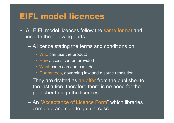#### EIFL model licences

- All EIFL model licences follow the same format and include the following parts:
	- A licence stating the terms and conditions on:
		- Who can use the product
		- How access can be provided
		- What users can and can't do
		- Guarantees, governing law and dispute resolution
	- They are drafted as an offer from the publisher to the institution, therefore there is no need for the publisher to sign the licences
	- An "Acceptance of Licence Form" which libraries complete and sign to gain access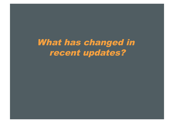What has changed in recent updates?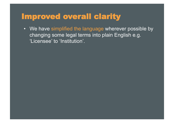#### Improved overall clarity

• We have simplified the language wherever possible by changing some legal terms into plain English e.g. 'Licensee' to 'Institution'.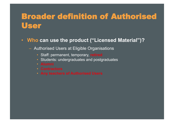#### Broader definition of Authorised User

- **Who can use the product ("Licensed Material")?** 
	- Authorised Users at Eligible Organisations
		- Staff: permanent, temporary, **retired**
		- Students: undergraduates and postgraduates
		-
		-
		-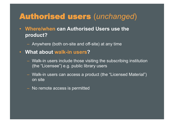#### Authorised users (*unchanged*)

- **Where/when can Authorised Users use the product?** 
	- Anywhere (both on-site and off-site) at any time
- **What about walk-in users?** 
	- Walk-in users include those visiting the subscribing institution (the "Licensee") e.g. public library users
	- Walk-in users can access a product (the "Licensed Material") on site
	- No remote access is permitted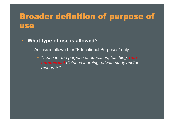### Broader definition of purpose of use

- **What type of use is allowed?** 
	- Access is allowed for "Educational Purposes" only
		- "...use for the purpose of education, teaching, **non***commercial distance learning, private study and/or research."*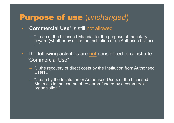#### Purpose of use (*unchanged*)

- "**Commercial Use**" is still not allowed
	- "…use of the Licensed Material for the purpose of monetary reward (whether by or for the Institution or an Authorised User) …"
- The following activities are not considered to constitute "Commercial Use"
	- "…the recovery of direct costs by the Institution from Authorised Users…"
	- "…use by the Institution or Authorised Users of the Licensed Materials in the course of research funded by a commercial organisation."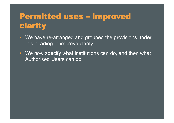# Permitted uses – improved clarity

- We have re-arranged and grouped the provisions under this heading to improve clarity
- We now specify what institutions can do, and then what Authorised Users can do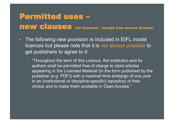# Permitted uses – new clauses (all licences – except free access licence)

- The following new provision is included in EIFL model licences but please note that it is not always possible to get publishers to agree to it:
	- "Throughout the term of this Licence, the Institution and its authors shall be permitted free of charge to store articles appearing in the Licensed Material (in the form published by the publisher (e.g. PDF)) with a maximal time embargo of one year in an (institutional or discipline-specific) repository of their choice and to make them available in Open Access."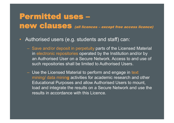#### Permitted uses – new clauses (all licences – except free access licence)

- Authorised users (e.g. students and staff) can:
	- Save and/or deposit in perpetuity parts of the Licensed Material in electronic repositories operated by the Institution and/or by an Authorised User on a Secure Network. Access to and use of such repositories shall be limited to Authorised Users.
	- Use the Licensed Material to perform and engage in text mining/ data minin**g** activities for academic research and other Educational Purposes and allow Authorised Users to mount, load and integrate the results on a Secure Network and use the results in accordance with this Licence.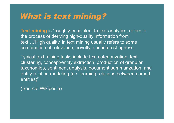#### What is text mining?

**Text-mining** is "roughly equivalent to text analytics, refers to the process of deriving high-quality information from text….'High quality' in text mining usually refers to some combination of relevance, novelty, and interestingness.

Typical text mining tasks include text categorization, text clustering, concept/entity extraction, production of granular taxonomies, sentiment analysis, document summarization, and entity relation modeling (i.e. learning relations between named entities)"

(Source: Wikipedia)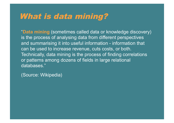#### What is data mining?

"**Data mining** (sometimes called data or knowledge discovery) is the process of analysing data from different perspectives and summarising it into useful information - information that can be used to increase revenue, cuts costs, or both. Technically, data mining is the process of finding correlations or patterns among dozens of fields in large relational databases."

(Source: Wikipedia)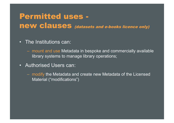#### Permitted uses new clauses (datasets and e-books licence only)

- The Institutions can:
	- mount and use Metadata in bespoke and commercially available library systems to manage library operations;
- Authorised Users can:
	- modify the Metadata and create new Metadata of the Licensed Material ("modifications")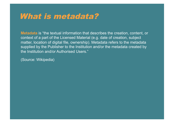#### What is metadata?

**Metadata** is "the textual information that describes the creation, content, or context of a part of the Licensed Material (e.g. date of creation, subject matter, location of digital file, ownership). Metadata refers to the metadata supplied by the Publisher to the Institution and/or the metadata created by the Institution and/or Authorised Users."

(Source: Wikipedia)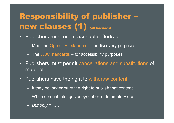# Responsibility of publisher – new clauses (1) (all licences)

- Publishers must use reasonable efforts to
	- Meet the Open URL standard for discovery purposes
	- The W3C standards for accessibility purposes
- Publishers must permit cancellations and substitutions of material
- Publishers have the right to withdraw content
	- If they no longer have the right to publish that content
	- When content infringes copyright or is defamatory etc
	- *But only if ……*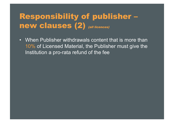## Responsibility of publisher – new clauses (2) (all licences)

• When Publisher withdrawals content that is more than 10% of Licensed Material, the Publisher must give the Institution a pro-rata refund of the fee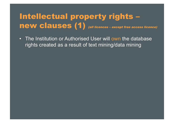### Intellectual property rights – new clauses (1) (all licences – except free access licence)

• The Institution or Authorised User will own the database rights created as a result of text mining/data mining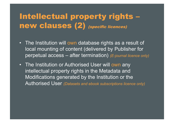### Intellectual property rights – new clauses (2) (specific licences)

- The Institution will own database rights as a result of local mounting of content (delivered by Publisher for perpetual access – after termination) *(E-journal licence only)*
- The Institution or Authorised User will own any intellectual property rights in the Metadata and Modifications generated by the Institution or the Authorised User *(Datasets and ebook subscriptions licence only)*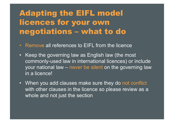# Adapting the EIFL model licences for your own negotiations – what to do

- Remove all references to EIFL from the licence
- Keep the governing law as English law (the most commonly-used law in international licences) or include your national law – never be silent on the governing law in a licence!
- When you add clauses make sure they do not conflict with other clauses in the licence so please review as a whole and not just the section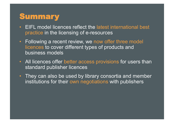#### **Summary**

- EIFL model licences reflect the latest international best practice in the licensing of e-resources
- Following a recent review, we now offer three model licences to cover different types of products and business models
- All licences offer better access provisions for users than standard publisher licences
- They can also be used by library consortia and member institutions for their own negotiations with publishers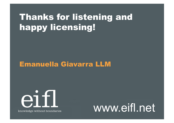# Thanks for listening and happy licensing!

#### Emanuella Giavarra LLM



knowledge without boundaries

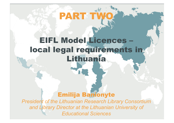# PART T

# EIFL Model Licences – local legal requirements in Lithuania

#### Emilija Banionyte

*President of the Lithuanian Research Library Consortium and Library Director at the Lithuanian University of Educational Sciences*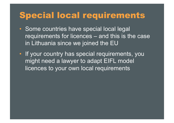# Special local requirements

- Some countries have special local legal requirements for licences – and this is the case in Lithuania since we joined the EU
- If your country has special requirements, you might need a lawyer to adapt EIFL model licences to your own local requirements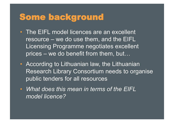# Some background

- The EIFL model licences are an excellent resource – we do use them, and the EIFL Licensing Programme negotiates excellent prices – we do benefit from them, but…
- According to Lithuanian law, the Lithuanian Research Library Consortium needs to organise public tenders for all resources
- *What does this mean in terms of the EIFL model licence?*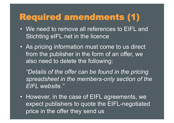# Required amendments (1)

- We need to remove all references to EIFL and Stichting eIFL.net in the licence
- As pricing information must come to us direct from the publisher in the form of an offer, we also need to delete the following:

*"Details of the offer can be found in the pricing spreadsheet in the members-only section of the EIFL website."* 

• However, in the case of EIFL agreements, we expect publishers to quote the EIFL-negotiated price in the offer they send us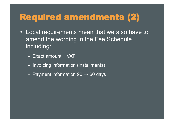# Required amendments (2)

- Local requirements mean that we also have to amend the wording in the Fee Schedule including:
	- Exact amount + VAT
	- Invoicing information (installments)
	- $-$  Payment information 90  $\rightarrow$  60 days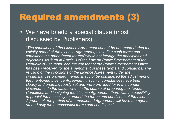# Required amendments (3)

• We have to add a special clause (most discussed by Publishers)...

*"The conditions of the Licence Agreement cannot be amended during the validity period of the Licence Agreement, excluding such terms and conditions the amendment thereof would not infringe the principles and objectives set forth in Article 3 of the Law on Public Procurement of the Republic of Lithuania, and the consent of the Public Procurement Office has been received for the amendment of these terms and conditions. The revision of the conditions of the Licence Agreement under the circumstances provided therein shall not be considered the adjustment of the mentioned Licence Agreement if such circumstances have been clearly and unambiguously set and were provided for in the Tender Documents. In the cases when in the course of preparing the Tender Conditions and in signing the License Agreement there was no possibility to predict the necessity to amend the terms and conditions of the Licence Agreement, the parties of the mentioned Agreement will have the right to amend only the nonessential terms and conditions."*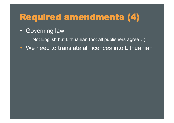# Required amendments (4)

- Governing law
	- Not English but Lithuanian (not all publishers agree…)
- We need to translate all licences into Lithuanian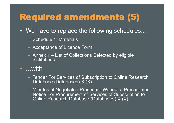# Required amendments (5)

- We have to replace the following schedules...
	- Schedule 1: Materials
	- Acceptance of Licence Form
	- Annex 1 List of Collections Selected by eligible institutions
- ...with
	- Tender For Services of Subscription to Online Research Database (Databases) X (X)
	- Minutes of Negotiated Procedure Without a Procurement Notice For Procurement of Services of Subscription to Online Research Database (Databases) X (X)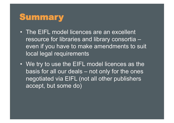# Summary

- The EIFL model licences are an excellent resource for libraries and library consortia – even if you have to make amendments to suit local legal requirements
- We try to use the EIFL model licences as the basis for all our deals – not only for the ones negotiated via EIFL (not all other publishers accept, but some do)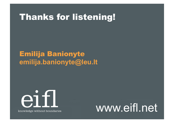## Thanks for listening!

#### Emilija Banionyte **emilija.banionyte@leu.lt**



knowledge without boundaries

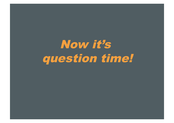Now it's question time!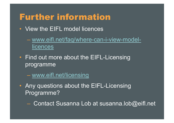# Further information

- View the EIFL model licences
	- www.eifl.net/faq/where-can-i-view-modellicences
- Find out more about the EIFL-Licensing programme

– www.eifl.net/licensing

- Any questions about the EIFL-Licensing Programme?
	- Contact Susanna Lob at susanna.lob@eifl.net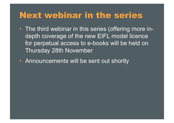### Next webinar in the series

- The third webinar in this series (offering more indepth coverage of the new EIFL model licence for perpetual access to e-books will be held on Thursday 28th November
- Announcements will be sent out shortly